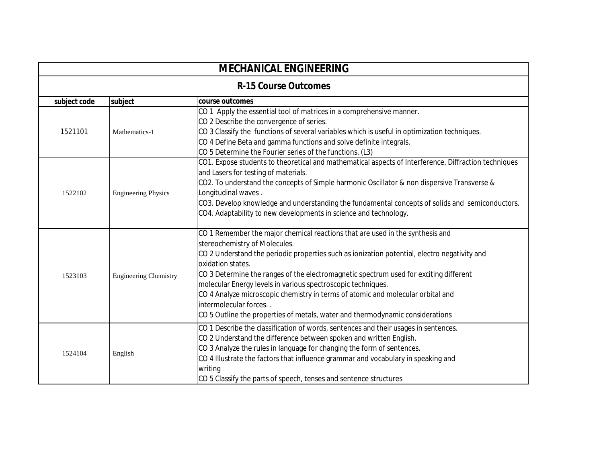| <b>MECHANICAL ENGINEERING</b> |                              |                                                                                                                                                                                                                                                                                                                                                                                                                                                                                                                                                                                           |
|-------------------------------|------------------------------|-------------------------------------------------------------------------------------------------------------------------------------------------------------------------------------------------------------------------------------------------------------------------------------------------------------------------------------------------------------------------------------------------------------------------------------------------------------------------------------------------------------------------------------------------------------------------------------------|
| <b>R-15 Course Outcomes</b>   |                              |                                                                                                                                                                                                                                                                                                                                                                                                                                                                                                                                                                                           |
| subject code                  | subject                      | course outcomes                                                                                                                                                                                                                                                                                                                                                                                                                                                                                                                                                                           |
| 1521101                       | Mathematics-1                | CO 1 Apply the essential tool of matrices in a comprehensive manner.<br>CO 2 Describe the convergence of series.<br>CO 3 Classify the functions of several variables which is useful in optimization techniques.<br>CO 4 Define Beta and gamma functions and solve definite integrals.<br>CO 5 Determine the Fourier series of the functions. (L3)                                                                                                                                                                                                                                        |
| 1522102                       | <b>Engineering Physics</b>   | CO1. Expose students to theoretical and mathematical aspects of Interference, Diffraction techniques<br>and Lasers for testing of materials.<br>CO2. To understand the concepts of Simple harmonic Oscillator & non dispersive Transverse &<br>Longitudinal waves.<br>CO3. Develop knowledge and understanding the fundamental concepts of solids and semiconductors.<br>CO4. Adaptability to new developments in science and technology.                                                                                                                                                 |
| 1523103                       | <b>Engineering Chemistry</b> | CO 1 Remember the major chemical reactions that are used in the synthesis and<br>stereochemistry of Molecules.<br>CO 2 Understand the periodic properties such as ionization potential, electro negativity and<br>oxidation states.<br>CO 3 Determine the ranges of the electromagnetic spectrum used for exciting different<br>molecular Energy levels in various spectroscopic techniques.<br>CO 4 Analyze microscopic chemistry in terms of atomic and molecular orbital and<br>intermolecular forces<br>CO 5 Outline the properties of metals, water and thermodynamic considerations |
| 1524104                       | English                      | CO 1 Describe the classification of words, sentences and their usages in sentences.<br>CO 2 Understand the difference between spoken and written English.<br>CO 3 Analyze the rules in language for changing the form of sentences.<br>CO 4 Illustrate the factors that influence grammar and vocabulary in speaking and<br>writing<br>CO 5 Classify the parts of speech, tenses and sentence structures                                                                                                                                                                                  |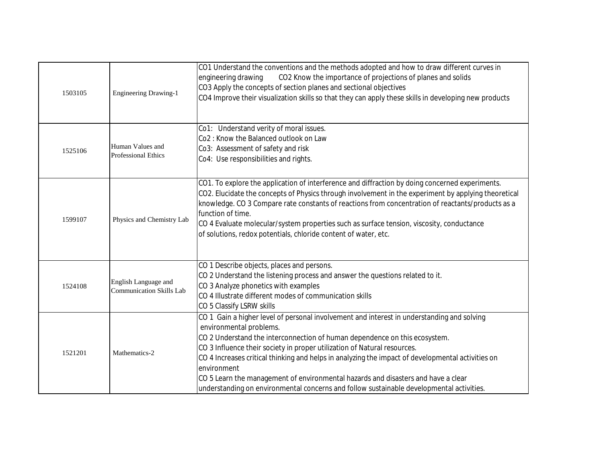| 1503105 | <b>Engineering Drawing-1</b>                            | CO1 Understand the conventions and the methods adopted and how to draw different curves in<br>CO2 Know the importance of projections of planes and solids<br>engineering drawing<br>CO3 Apply the concepts of section planes and sectional objectives<br>CO4 Improve their visualization skills so that they can apply these skills in developing new products                                                                                                                                                                                                                       |
|---------|---------------------------------------------------------|--------------------------------------------------------------------------------------------------------------------------------------------------------------------------------------------------------------------------------------------------------------------------------------------------------------------------------------------------------------------------------------------------------------------------------------------------------------------------------------------------------------------------------------------------------------------------------------|
| 1525106 | Human Values and<br><b>Professional Ethics</b>          | Co1: Understand verity of moral issues.<br>Co2: Know the Balanced outlook on Law<br>Co3: Assessment of safety and risk<br>Co4: Use responsibilities and rights.                                                                                                                                                                                                                                                                                                                                                                                                                      |
| 1599107 | Physics and Chemistry Lab                               | CO1. To explore the application of interference and diffraction by doing concerned experiments.<br>CO2. Elucidate the concepts of Physics through involvement in the experiment by applying theoretical<br>knowledge. CO 3 Compare rate constants of reactions from concentration of reactants/products as a<br>function of time.<br>CO 4 Evaluate molecular/system properties such as surface tension, viscosity, conductance<br>of solutions, redox potentials, chloride content of water, etc.                                                                                    |
| 1524108 | English Language and<br><b>Communication Skills Lab</b> | CO 1 Describe objects, places and persons.<br>CO 2 Understand the listening process and answer the questions related to it.<br>CO 3 Analyze phonetics with examples<br>CO 4 Illustrate different modes of communication skills<br>CO 5 Classify LSRW skills                                                                                                                                                                                                                                                                                                                          |
| 1521201 | Mathematics-2                                           | CO 1 Gain a higher level of personal involvement and interest in understanding and solving<br>environmental problems.<br>CO 2 Understand the interconnection of human dependence on this ecosystem.<br>CO 3 Influence their society in proper utilization of Natural resources.<br>CO 4 Increases critical thinking and helps in analyzing the impact of developmental activities on<br>environment<br>CO 5 Learn the management of environmental hazards and disasters and have a clear<br>understanding on environmental concerns and follow sustainable developmental activities. |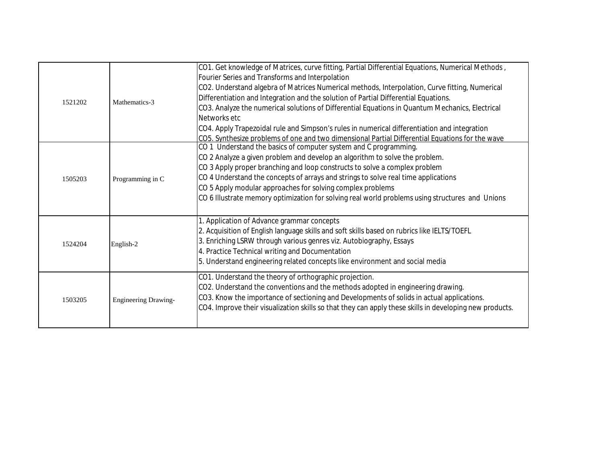| 1521202 | Mathematics-3               | CO1. Get knowledge of Matrices, curve fitting, Partial Differential Equations, Numerical Methods,<br>Fourier Series and Transforms and Interpolation<br>CO2. Understand algebra of Matrices Numerical methods, Interpolation, Curve fitting, Numerical<br>Differentiation and Integration and the solution of Partial Differential Equations.<br>CO3. Analyze the numerical solutions of Differential Equations in Quantum Mechanics, Electrical<br>Networks etc<br>CO4. Apply Trapezoidal rule and Simpson's rules in numerical differentiation and integration<br>CO5. Synthesize problems of one and two dimensional Partial Differential Equations for the wave |
|---------|-----------------------------|---------------------------------------------------------------------------------------------------------------------------------------------------------------------------------------------------------------------------------------------------------------------------------------------------------------------------------------------------------------------------------------------------------------------------------------------------------------------------------------------------------------------------------------------------------------------------------------------------------------------------------------------------------------------|
| 1505203 | Programming in C            | CO 1 Understand the basics of computer system and C programming.<br>CO 2 Analyze a given problem and develop an algorithm to solve the problem.<br>CO 3 Apply proper branching and loop constructs to solve a complex problem<br>CO 4 Understand the concepts of arrays and strings to solve real time applications<br>CO 5 Apply modular approaches for solving complex problems<br>CO 6 Illustrate memory optimization for solving real world problems using structures and Unions                                                                                                                                                                                |
| 1524204 | English-2                   | 1. Application of Advance grammar concepts<br>2. Acquisition of English language skills and soft skills based on rubrics like IELTS/TOEFL<br>3. Enriching LSRW through various genres viz. Autobiography, Essays<br>4. Practice Technical writing and Documentation<br>5. Understand engineering related concepts like environment and social media                                                                                                                                                                                                                                                                                                                 |
| 1503205 | <b>Engineering Drawing-</b> | CO1. Understand the theory of orthographic projection.<br>CO2. Understand the conventions and the methods adopted in engineering drawing.<br>CO3. Know the importance of sectioning and Developments of solids in actual applications.<br>CO4. Improve their visualization skills so that they can apply these skills in developing new products.                                                                                                                                                                                                                                                                                                                   |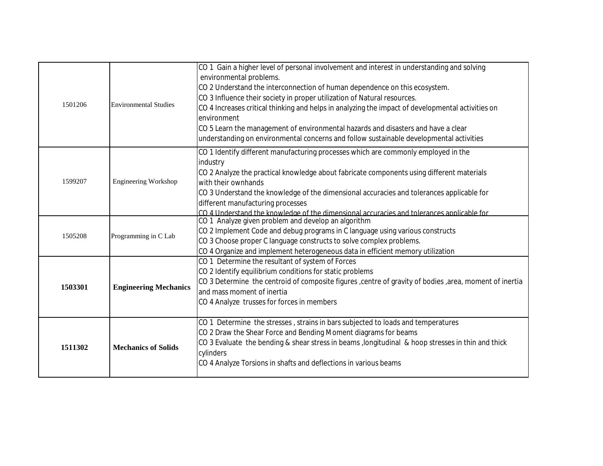| 1501206 | <b>Environmental Studies</b> | CO 1 Gain a higher level of personal involvement and interest in understanding and solving<br>environmental problems.<br>CO 2 Understand the interconnection of human dependence on this ecosystem.<br>CO 3 Influence their society in proper utilization of Natural resources.<br>CO 4 Increases critical thinking and helps in analyzing the impact of developmental activities on<br>environment<br>CO 5 Learn the management of environmental hazards and disasters and have a clear<br>understanding on environmental concerns and follow sustainable developmental activities |
|---------|------------------------------|-------------------------------------------------------------------------------------------------------------------------------------------------------------------------------------------------------------------------------------------------------------------------------------------------------------------------------------------------------------------------------------------------------------------------------------------------------------------------------------------------------------------------------------------------------------------------------------|
| 1599207 | Engineering Workshop         | CO 1 Identify different manufacturing processes which are commonly employed in the<br>industry<br>CO 2 Analyze the practical knowledge about fabricate components using different materials<br>with their ownhands<br>CO 3 Understand the knowledge of the dimensional accuracies and tolerances applicable for<br>different manufacturing processes<br>CO 4 Understand the knowledge of the dimensional accuracies and tolerances applicable for                                                                                                                                   |
| 1505208 | Programming in C Lab         | CO 1 Analyze given problem and develop an algorithm<br>CO 2 Implement Code and debug programs in C language using various constructs<br>CO 3 Choose proper C language constructs to solve complex problems.<br>CO 4 Organize and implement heterogeneous data in efficient memory utilization                                                                                                                                                                                                                                                                                       |
| 1503301 | <b>Engineering Mechanics</b> | CO 1 Determine the resultant of system of Forces<br>CO 2 Identify equilibrium conditions for static problems<br>CO 3 Determine the centroid of composite figures , centre of gravity of bodies , area, moment of inertia<br>and mass moment of inertia<br>CO 4 Analyze trusses for forces in members                                                                                                                                                                                                                                                                                |
| 1511302 | <b>Mechanics of Solids</b>   | CO 1 Determine the stresses, strains in bars subjected to loads and temperatures<br>CO 2 Draw the Shear Force and Bending Moment diagrams for beams<br>CO 3 Evaluate the bending & shear stress in beams, longitudinal & hoop stresses in thin and thick<br>cylinders<br>CO 4 Analyze Torsions in shafts and deflections in various beams                                                                                                                                                                                                                                           |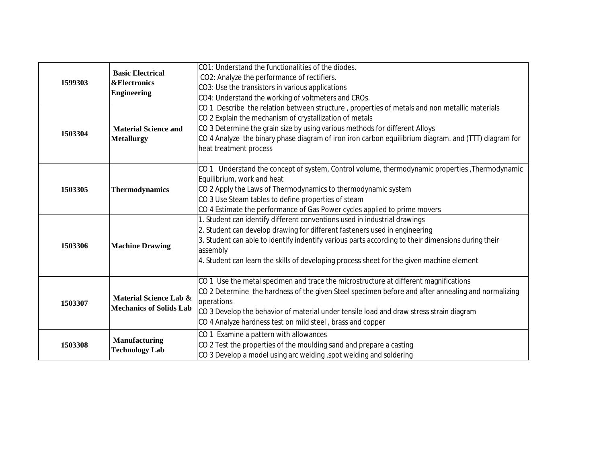| 1599303 | <b>Basic Electrical</b><br><b>&amp;Electronics</b><br><b>Engineering</b> | CO1: Understand the functionalities of the diodes.                                                   |
|---------|--------------------------------------------------------------------------|------------------------------------------------------------------------------------------------------|
|         |                                                                          | CO2: Analyze the performance of rectifiers.                                                          |
|         |                                                                          | CO3: Use the transistors in various applications                                                     |
|         |                                                                          | CO4: Understand the working of voltmeters and CROs.                                                  |
|         |                                                                          | CO 1 Describe the relation between structure, properties of metals and non metallic materials        |
|         |                                                                          | CO 2 Explain the mechanism of crystallization of metals                                              |
| 1503304 | <b>Material Science and</b>                                              | CO 3 Determine the grain size by using various methods for different Alloys                          |
|         | <b>Metallurgy</b>                                                        | CO 4 Analyze the binary phase diagram of iron iron carbon equilibrium diagram. and (TTT) diagram for |
|         |                                                                          | heat treatment process                                                                               |
|         |                                                                          |                                                                                                      |
|         |                                                                          | CO 1 Understand the concept of system, Control volume, thermodynamic properties, Thermodynamic       |
|         |                                                                          | Equilibrium, work and heat                                                                           |
| 1503305 | <b>Thermodynamics</b>                                                    | CO 2 Apply the Laws of Thermodynamics to thermodynamic system                                        |
|         |                                                                          | CO 3 Use Steam tables to define properties of steam                                                  |
|         |                                                                          | CO 4 Estimate the performance of Gas Power cycles applied to prime movers                            |
|         |                                                                          | 1. Student can identify different conventions used in industrial drawings                            |
|         | <b>Machine Drawing</b>                                                   | 2. Student can develop drawing for different fasteners used in engineering                           |
| 1503306 |                                                                          | 3. Student can able to identify indentify various parts according to their dimensions during their   |
|         |                                                                          | assembly                                                                                             |
|         |                                                                          | 4. Student can learn the skills of developing process sheet for the given machine element            |
|         |                                                                          |                                                                                                      |
|         | Material Science Lab &<br><b>Mechanics of Solids Lab</b>                 | CO 1 Use the metal specimen and trace the microstructure at different magnifications                 |
|         |                                                                          | CO 2 Determine the hardness of the given Steel specimen before and after annealing and normalizing   |
| 1503307 |                                                                          | operations                                                                                           |
|         |                                                                          | CO 3 Develop the behavior of material under tensile load and draw stress strain diagram              |
|         |                                                                          | CO 4 Analyze hardness test on mild steel, brass and copper                                           |
|         |                                                                          | CO 1 Examine a pattern with allowances                                                               |
| 1503308 | Manufacturing<br><b>Technology Lab</b>                                   | CO 2 Test the properties of the moulding sand and prepare a casting                                  |
|         |                                                                          | CO 3 Develop a model using arc welding, spot welding and soldering                                   |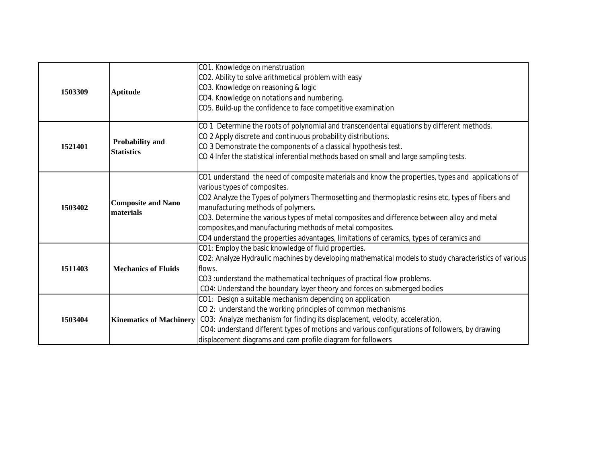|         |                                        | CO1. Knowledge on menstruation                                                                        |
|---------|----------------------------------------|-------------------------------------------------------------------------------------------------------|
|         |                                        | CO2. Ability to solve arithmetical problem with easy                                                  |
| 1503309 | <b>Aptitude</b>                        | CO3. Knowledge on reasoning & logic                                                                   |
|         |                                        | CO4. Knowledge on notations and numbering.                                                            |
|         |                                        | CO5. Build-up the confidence to face competitive examination                                          |
|         |                                        |                                                                                                       |
|         |                                        | CO 1 Determine the roots of polynomial and transcendental equations by different methods.             |
|         | Probability and                        | CO 2 Apply discrete and continuous probability distributions.                                         |
| 1521401 | <b>Statistics</b>                      | CO 3 Demonstrate the components of a classical hypothesis test.                                       |
|         |                                        | CO 4 Infer the statistical inferential methods based on small and large sampling tests.               |
|         |                                        |                                                                                                       |
|         | <b>Composite and Nano</b><br>materials | CO1 understand the need of composite materials and know the properties, types and applications of     |
|         |                                        | various types of composites.                                                                          |
|         |                                        | CO2 Analyze the Types of polymers Thermosetting and thermoplastic resins etc, types of fibers and     |
| 1503402 |                                        | manufacturing methods of polymers.                                                                    |
|         |                                        | CO3. Determine the various types of metal composites and difference between alloy and metal           |
|         |                                        | composites, and manufacturing methods of metal composites.                                            |
|         |                                        | CO4 understand the properties advantages, limitations of ceramics, types of ceramics and              |
|         | <b>Mechanics of Fluids</b>             | CO1: Employ the basic knowledge of fluid properties.                                                  |
|         |                                        | CO2: Analyze Hydraulic machines by developing mathematical models to study characteristics of various |
| 1511403 |                                        | flows.                                                                                                |
|         |                                        | CO3 : understand the mathematical techniques of practical flow problems.                              |
|         |                                        | CO4: Understand the boundary layer theory and forces on submerged bodies                              |
| 1503404 |                                        | CO1: Design a suitable mechanism depending on application                                             |
|         |                                        | CO 2: understand the working principles of common mechanisms                                          |
|         | <b>Kinematics of Machinery</b>         | CO3: Analyze mechanism for finding its displacement, velocity, acceleration,                          |
|         |                                        | CO4: understand different types of motions and various configurations of followers, by drawing        |
|         |                                        | displacement diagrams and cam profile diagram for followers                                           |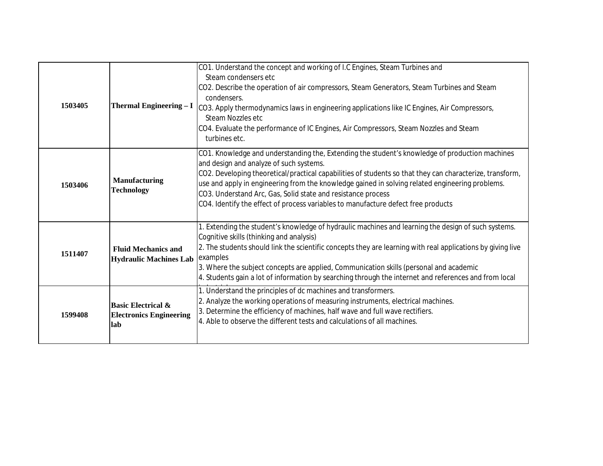| 1503405 | <b>Thermal Engineering - I</b>                                         | CO1. Understand the concept and working of I.C Engines, Steam Turbines and<br>Steam condensers etc<br>CO2. Describe the operation of air compressors, Steam Generators, Steam Turbines and Steam<br>condensers.<br>CO3. Apply thermodynamics laws in engineering applications like IC Engines, Air Compressors,<br>Steam Nozzles etc<br>CO4. Evaluate the performance of IC Engines, Air Compressors, Steam Nozzles and Steam<br>turbines etc.                                                                |
|---------|------------------------------------------------------------------------|---------------------------------------------------------------------------------------------------------------------------------------------------------------------------------------------------------------------------------------------------------------------------------------------------------------------------------------------------------------------------------------------------------------------------------------------------------------------------------------------------------------|
| 1503406 | <b>Manufacturing</b><br><b>Technology</b>                              | CO1. Knowledge and understanding the, Extending the student's knowledge of production machines<br>and design and analyze of such systems.<br>CO2. Developing theoretical/practical capabilities of students so that they can characterize, transform,<br>use and apply in engineering from the knowledge gained in solving related engineering problems.<br>CO3. Understand Arc, Gas, Solid state and resistance process<br>CO4. Identify the effect of process variables to manufacture defect free products |
| 1511407 | <b>Fluid Mechanics and</b><br><b>Hydraulic Machines Lab</b>            | 1. Extending the student's knowledge of hydraulic machines and learning the design of such systems.<br>Cognitive skills (thinking and analysis)<br>2. The students should link the scientific concepts they are learning with real applications by giving live<br>examples<br>3. Where the subject concepts are applied, Communication skills (personal and academic<br>4. Students gain a lot of information by searching through the internet and references and from local                                 |
| 1599408 | <b>Basic Electrical &amp;</b><br><b>Electronics Engineering</b><br>lab | 1. Understand the principles of dc machines and transformers.<br>2. Analyze the working operations of measuring instruments, electrical machines.<br>3. Determine the efficiency of machines, half wave and full wave rectifiers.<br>4. Able to observe the different tests and calculations of all machines.                                                                                                                                                                                                 |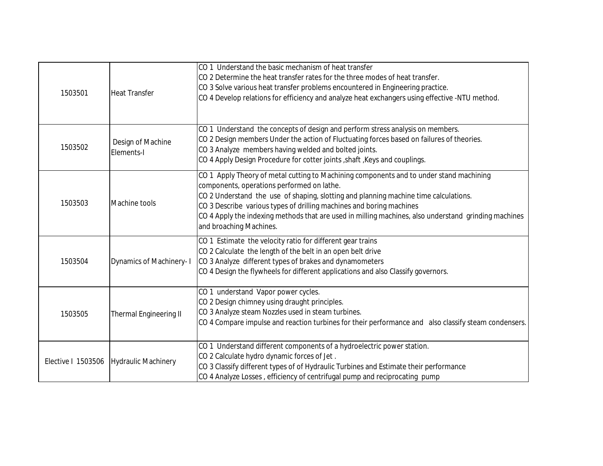| 1503501            | <b>Heat Transfer</b>            | CO 1 Understand the basic mechanism of heat transfer<br>CO 2 Determine the heat transfer rates for the three modes of heat transfer.<br>CO 3 Solve various heat transfer problems encountered in Engineering practice.<br>CO 4 Develop relations for efficiency and analyze heat exchangers using effective -NTU method.                                                                                                                 |
|--------------------|---------------------------------|------------------------------------------------------------------------------------------------------------------------------------------------------------------------------------------------------------------------------------------------------------------------------------------------------------------------------------------------------------------------------------------------------------------------------------------|
| 1503502            | Design of Machine<br>Elements-I | CO 1 Understand the concepts of design and perform stress analysis on members.<br>CO 2 Design members Under the action of Fluctuating forces based on failures of theories.<br>CO 3 Analyze members having welded and bolted joints.<br>CO 4 Apply Design Procedure for cotter joints, shaft, Keys and couplings.                                                                                                                        |
| 1503503            | Machine tools                   | CO 1 Apply Theory of metal cutting to Machining components and to under stand machining<br>components, operations performed on lathe.<br>CO 2 Understand the use of shaping, slotting and planning machine time calculations.<br>CO 3 Describe various types of drilling machines and boring machines<br>CO 4 Apply the indexing methods that are used in milling machines, also understand grinding machines<br>and broaching Machines. |
| 1503504            | Dynamics of Machinery- I        | CO 1 Estimate the velocity ratio for different gear trains<br>CO 2 Calculate the length of the belt in an open belt drive<br>CO 3 Analyze different types of brakes and dynamometers<br>CO 4 Design the flywheels for different applications and also Classify governors.                                                                                                                                                                |
| 1503505            | <b>Thermal Engineering II</b>   | CO 1 understand Vapor power cycles.<br>CO 2 Design chimney using draught principles.<br>CO 3 Analyze steam Nozzles used in steam turbines.<br>CO 4 Compare impulse and reaction turbines for their performance and also classify steam condensers.                                                                                                                                                                                       |
| Elective I 1503506 | <b>Hydraulic Machinery</b>      | CO 1 Understand different components of a hydroelectric power station.<br>CO 2 Calculate hydro dynamic forces of Jet.<br>CO 3 Classify different types of of Hydraulic Turbines and Estimate their performance<br>CO 4 Analyze Losses, efficiency of centrifugal pump and reciprocating pump                                                                                                                                             |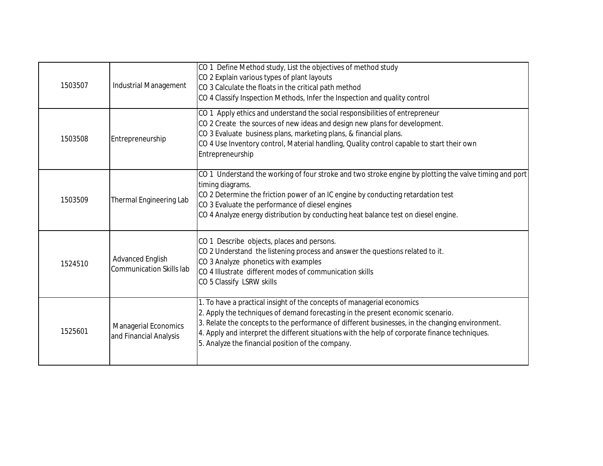| 1503507 | Industrial Management                                      | CO 1 Define Method study, List the objectives of method study<br>CO 2 Explain various types of plant layouts<br>CO 3 Calculate the floats in the critical path method<br>CO 4 Classify Inspection Methods, Infer the Inspection and quality control                                                                                                                                                                 |
|---------|------------------------------------------------------------|---------------------------------------------------------------------------------------------------------------------------------------------------------------------------------------------------------------------------------------------------------------------------------------------------------------------------------------------------------------------------------------------------------------------|
| 1503508 | Entrepreneurship                                           | CO 1 Apply ethics and understand the social responsibilities of entrepreneur<br>CO 2 Create the sources of new ideas and design new plans for development.<br>CO 3 Evaluate business plans, marketing plans, & financial plans.<br>CO 4 Use Inventory control, Material handling, Quality control capable to start their own<br>Entrepreneurship                                                                    |
| 1503509 | Thermal Engineering Lab                                    | CO 1 Understand the working of four stroke and two stroke engine by plotting the valve timing and port<br>timing diagrams.<br>CO 2 Determine the friction power of an IC engine by conducting retardation test<br>CO 3 Evaluate the performance of diesel engines<br>CO 4 Analyze energy distribution by conducting heat balance test on diesel engine.                                                             |
| 1524510 | <b>Advanced English</b><br><b>Communication Skills lab</b> | CO 1 Describe objects, places and persons.<br>CO 2 Understand the listening process and answer the questions related to it.<br>CO 3 Analyze phonetics with examples<br>CO 4 Illustrate different modes of communication skills<br>CO 5 Classify LSRW skills                                                                                                                                                         |
| 1525601 | Managerial Economics<br>and Financial Analysis             | 1. To have a practical insight of the concepts of managerial economics<br>2. Apply the techniques of demand forecasting in the present economic scenario.<br>3. Relate the concepts to the performance of different businesses, in the changing environment.<br>4. Apply and interpret the different situations with the help of corporate finance techniques.<br>5. Analyze the financial position of the company. |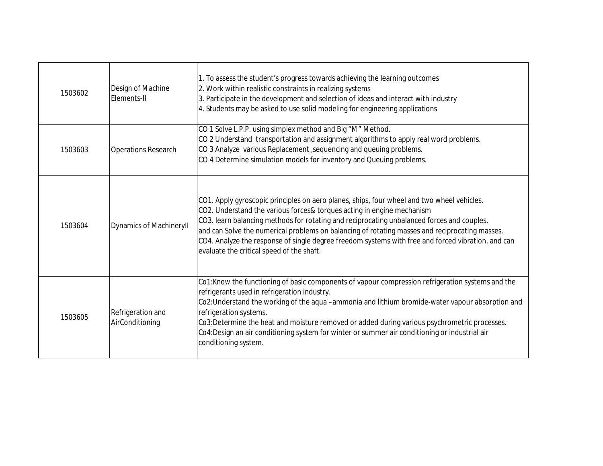| 1503602 | Design of Machine<br>Elements-II     | 1. To assess the student's progress towards achieving the learning outcomes<br>2. Work within realistic constraints in realizing systems<br>3. Participate in the development and selection of ideas and interact with industry<br>4. Students may be asked to use solid modeling for engineering applications                                                                                                                                                                                                          |
|---------|--------------------------------------|-------------------------------------------------------------------------------------------------------------------------------------------------------------------------------------------------------------------------------------------------------------------------------------------------------------------------------------------------------------------------------------------------------------------------------------------------------------------------------------------------------------------------|
| 1503603 | <b>Operations Research</b>           | CO 1 Solve L.P.P. using simplex method and Big "M" Method.<br>CO 2 Understand transportation and assignment algorithms to apply real word problems.<br>CO 3 Analyze various Replacement, sequencing and queuing problems.<br>CO 4 Determine simulation models for inventory and Queuing problems.                                                                                                                                                                                                                       |
| 1503604 | <b>Dynamics of MachineryII</b>       | CO1. Apply gyroscopic principles on aero planes, ships, four wheel and two wheel vehicles.<br>CO2. Understand the various forces& torques acting in engine mechanism<br>CO3. learn balancing methods for rotating and reciprocating unbalanced forces and couples,<br>and can Solve the numerical problems on balancing of rotating masses and reciprocating masses.<br>CO4. Analyze the response of single degree freedom systems with free and forced vibration, and can<br>evaluate the critical speed of the shaft. |
| 1503605 | Refrigeration and<br>AirConditioning | Co1:Know the functioning of basic components of vapour compression refrigeration systems and the<br>refrigerants used in refrigeration industry.<br>Co2: Understand the working of the aqua -ammonia and lithium bromide-water vapour absorption and<br>refrigeration systems.<br>Co3:Determine the heat and moisture removed or added during various psychrometric processes.<br>Co4:Design an air conditioning system for winter or summer air conditioning or industrial air<br>conditioning system.                 |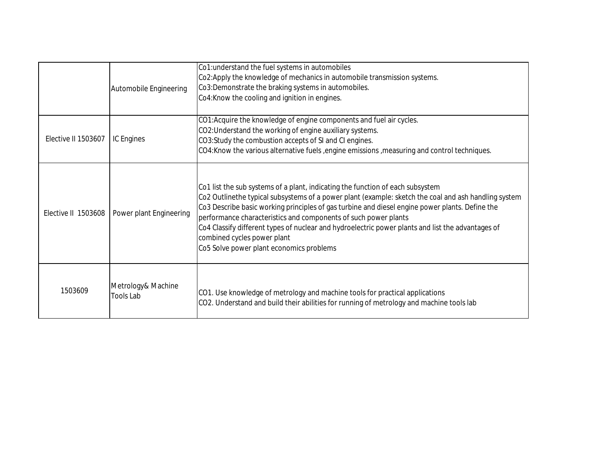|                     | Automobile Engineering                 | Co1: understand the fuel systems in automobiles<br>Co2:Apply the knowledge of mechanics in automobile transmission systems.<br>Co3:Demonstrate the braking systems in automobiles.<br>Co4: Know the cooling and ignition in engines.                                                                                                                                                                                                                                                                                                         |
|---------------------|----------------------------------------|----------------------------------------------------------------------------------------------------------------------------------------------------------------------------------------------------------------------------------------------------------------------------------------------------------------------------------------------------------------------------------------------------------------------------------------------------------------------------------------------------------------------------------------------|
| Elective II 1503607 | <b>IC Engines</b>                      | CO1: Acquire the knowledge of engine components and fuel air cycles.<br>CO2: Understand the working of engine auxiliary systems.<br>CO3:Study the combustion accepts of SI and CI engines.<br>CO4: Know the various alternative fuels , engine emissions , measuring and control techniques.                                                                                                                                                                                                                                                 |
| Elective II 1503608 | Power plant Engineering                | Co1 list the sub systems of a plant, indicating the function of each subsystem<br>Co2 Outlinethe typical subsystems of a power plant (example: sketch the coal and ash handling system<br>Co3 Describe basic working principles of gas turbine and diesel engine power plants. Define the<br>performance characteristics and components of such power plants<br>Co4 Classify different types of nuclear and hydroelectric power plants and list the advantages of<br>combined cycles power plant<br>Co5 Solve power plant economics problems |
| 1503609             | Metrology& Machine<br><b>Tools Lab</b> | CO1. Use knowledge of metrology and machine tools for practical applications<br>CO2. Understand and build their abilities for running of metrology and machine tools lab                                                                                                                                                                                                                                                                                                                                                                     |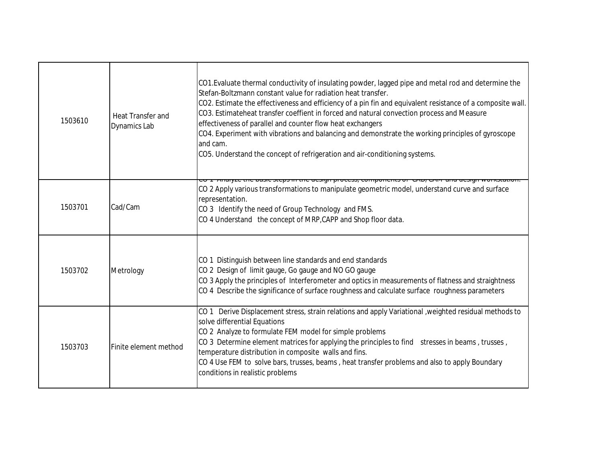| 1503610 | Heat Transfer and<br><b>Dynamics Lab</b> | CO1. Evaluate thermal conductivity of insulating powder, lagged pipe and metal rod and determine the<br>Stefan-Boltzmann constant value for radiation heat transfer.<br>CO2. Estimate the effectiveness and efficiency of a pin fin and equivalent resistance of a composite wall.<br>CO3. Estimateheat transfer coeffient in forced and natural convection process and Measure<br>effectiveness of parallel and counter flow heat exchangers<br>CO4. Experiment with vibrations and balancing and demonstrate the working principles of gyroscope<br>and cam.<br>CO5. Understand the concept of refrigeration and air-conditioning systems. |
|---------|------------------------------------------|----------------------------------------------------------------------------------------------------------------------------------------------------------------------------------------------------------------------------------------------------------------------------------------------------------------------------------------------------------------------------------------------------------------------------------------------------------------------------------------------------------------------------------------------------------------------------------------------------------------------------------------------|
| 1503701 | Cad/Cam                                  | <del>une pubblic steps in the uesign process, components or oras situ</del><br>CO 2 Apply various transformations to manipulate geometric model, understand curve and surface<br>representation.<br>CO 3 Identify the need of Group Technology and FMS.<br>CO 4 Understand the concept of MRP, CAPP and Shop floor data.                                                                                                                                                                                                                                                                                                                     |
| 1503702 | Metrology                                | CO 1 Distinguish between line standards and end standards<br>CO 2 Design of limit gauge, Go gauge and NO GO gauge<br>CO 3 Apply the principles of Interferometer and optics in measurements of flatness and straightness<br>CO 4 Describe the significance of surface roughness and calculate surface roughness parameters                                                                                                                                                                                                                                                                                                                   |
| 1503703 | Finite element method                    | CO 1 Derive Displacement stress, strain relations and apply Variational , weighted residual methods to<br>solve differential Equations<br>CO 2 Analyze to formulate FEM model for simple problems<br>CO 3 Determine element matrices for applying the principles to find stresses in beams, trusses,<br>temperature distribution in composite walls and fins.<br>CO 4 Use FEM to solve bars, trusses, beams, heat transfer problems and also to apply Boundary<br>conditions in realistic problems                                                                                                                                           |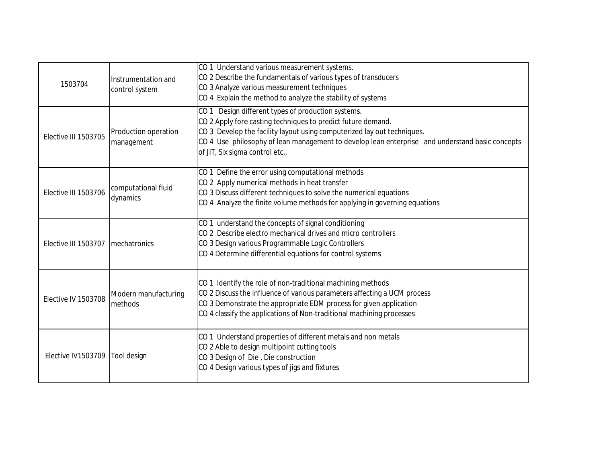| 1503704              | Instrumentation and<br>control system | CO 1 Understand various measurement systems.<br>CO 2 Describe the fundamentals of various types of transducers<br>CO 3 Analyze various measurement techniques<br>CO 4 Explain the method to analyze the stability of systems                                                                                                        |
|----------------------|---------------------------------------|-------------------------------------------------------------------------------------------------------------------------------------------------------------------------------------------------------------------------------------------------------------------------------------------------------------------------------------|
| Elective III 1503705 | Production operation<br>management    | CO 1 Design different types of production systems.<br>CO 2 Apply fore casting techniques to predict future demand.<br>CO 3 Develop the facility layout using computerized lay out techniques.<br>CO 4 Use philosophy of lean management to develop lean enterprise and understand basic concepts<br>of JIT, Six sigma control etc., |
| Elective III 1503706 | computational fluid<br>dynamics       | CO 1 Define the error using computational methods<br>CO 2 Apply numerical methods in heat transfer<br>CO 3 Discuss different techniques to solve the numerical equations<br>CO 4 Analyze the finite volume methods for applying in governing equations                                                                              |
| Elective III 1503707 | mechatronics                          | CO 1 understand the concepts of signal conditioning<br>CO 2 Describe electro mechanical drives and micro controllers<br>CO 3 Design various Programmable Logic Controllers<br>CO 4 Determine differential equations for control systems                                                                                             |
| Elective IV 1503708  | Modern manufacturing<br>methods       | CO 1 Identify the role of non-traditional machining methods<br>CO 2 Discuss the influence of various parameters affecting a UCM process<br>CO 3 Demonstrate the appropriate EDM process for given application<br>CO 4 classify the applications of Non-traditional machining processes                                              |
| Elective IV1503709   | Tool design                           | CO 1 Understand properties of different metals and non metals<br>CO 2 Able to design multipoint cutting tools<br>CO 3 Design of Die, Die construction<br>CO 4 Design various types of jigs and fixtures                                                                                                                             |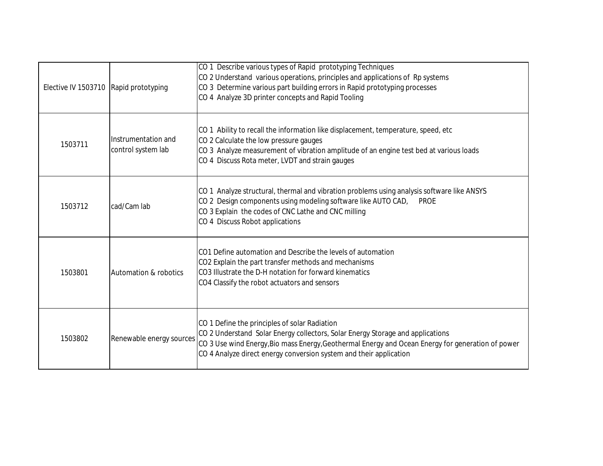| Elective IV 1503710 Rapid prototyping |                                           | CO 1 Describe various types of Rapid prototyping Techniques<br>CO 2 Understand various operations, principles and applications of Rp systems<br>CO 3 Determine various part building errors in Rapid prototyping processes<br>CO 4 Analyze 3D printer concepts and Rapid Tooling                           |
|---------------------------------------|-------------------------------------------|------------------------------------------------------------------------------------------------------------------------------------------------------------------------------------------------------------------------------------------------------------------------------------------------------------|
| 1503711                               | Instrumentation and<br>control system lab | CO 1 Ability to recall the information like displacement, temperature, speed, etc<br>CO 2 Calculate the low pressure gauges<br>CO 3 Analyze measurement of vibration amplitude of an engine test bed at various loads<br>CO 4 Discuss Rota meter, LVDT and strain gauges                                   |
| 1503712                               | cad/Cam lab                               | CO 1 Analyze structural, thermal and vibration problems using analysis software like ANSYS<br>CO 2 Design components using modeling software like AUTO CAD,<br><b>PROE</b><br>CO 3 Explain the codes of CNC Lathe and CNC milling<br>CO 4 Discuss Robot applications                                       |
| 1503801                               | Automation & robotics                     | CO1 Define automation and Describe the levels of automation<br>CO2 Explain the part transfer methods and mechanisms<br>CO3 Illustrate the D-H notation for forward kinematics<br>CO4 Classify the robot actuators and sensors                                                                              |
| 1503802                               | Renewable energy sources                  | CO 1 Define the principles of solar Radiation<br>CO 2 Understand Solar Energy collectors, Solar Energy Storage and applications<br>CO 3 Use wind Energy, Bio mass Energy, Geothermal Energy and Ocean Energy for generation of power<br>CO 4 Analyze direct energy conversion system and their application |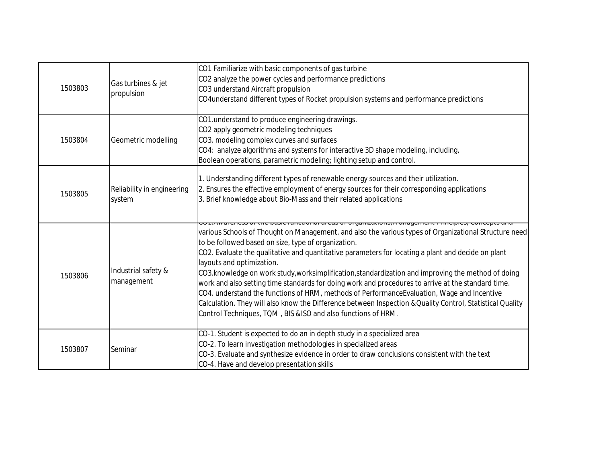| 1503803 | Gas turbines & jet<br>propulsion     | CO1 Familiarize with basic components of gas turbine<br>CO2 analyze the power cycles and performance predictions<br>CO3 understand Aircraft propulsion<br>CO4understand different types of Rocket propulsion systems and performance predictions                                                                                                                                                                                                                                                                                                                                                                                                                                                                                                                                                                                                                        |
|---------|--------------------------------------|-------------------------------------------------------------------------------------------------------------------------------------------------------------------------------------------------------------------------------------------------------------------------------------------------------------------------------------------------------------------------------------------------------------------------------------------------------------------------------------------------------------------------------------------------------------------------------------------------------------------------------------------------------------------------------------------------------------------------------------------------------------------------------------------------------------------------------------------------------------------------|
| 1503804 | Geometric modelling                  | CO1.understand to produce engineering drawings.<br>CO2 apply geometric modeling techniques<br>CO3. modeling complex curves and surfaces<br>CO4: analyze algorithms and systems for interactive 3D shape modeling, including,<br>Boolean operations, parametric modeling; lighting setup and control.                                                                                                                                                                                                                                                                                                                                                                                                                                                                                                                                                                    |
| 1503805 | Reliability in engineering<br>system | 1. Understanding different types of renewable energy sources and their utilization.<br>2. Ensures the effective employment of energy sources for their corresponding applications<br>3. Brief knowledge about Bio-Mass and their related applications                                                                                                                                                                                                                                                                                                                                                                                                                                                                                                                                                                                                                   |
| 1503806 | Industrial safety &<br>management    | unonar aruab or organizanono <sub>r</sub> managumum minoipius <sub>i</sub> oo<br>various Schools of Thought on Management, and also the various types of Organizational Structure need<br>to be followed based on size, type of organization.<br>CO2. Evaluate the qualitative and quantitative parameters for locating a plant and decide on plant<br>layouts and optimization.<br>CO3.knowledge on work study, worksimplification, standardization and improving the method of doing<br>work and also setting time standards for doing work and procedures to arrive at the standard time.<br>CO4. understand the functions of HRM, methods of PerformanceEvaluation, Wage and Incentive<br>Calculation. They will also know the Difference between Inspection & Quality Control, Statistical Quality<br>Control Techniques, TQM, BIS &ISO and also functions of HRM. |
| 1503807 | Seminar                              | CO-1. Student is expected to do an in depth study in a specialized area<br>CO-2. To learn investigation methodologies in specialized areas<br>CO-3. Evaluate and synthesize evidence in order to draw conclusions consistent with the text<br>CO-4. Have and develop presentation skills                                                                                                                                                                                                                                                                                                                                                                                                                                                                                                                                                                                |